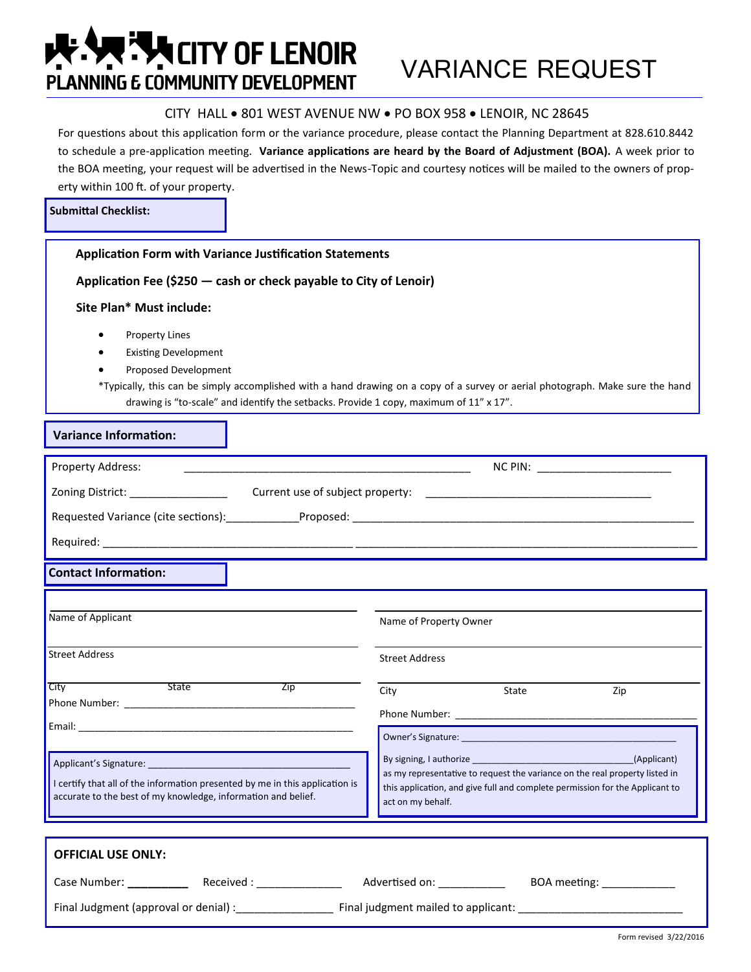## **ARELE SERVICITY OF LENOIR PLANNING & COMMUNITY DEVELOPMENT**

## CITY HALL . 801 WEST AVENUE NW . PO BOX 958 . LENOIR, NC 28645

For questions about this application form or the variance procedure, please contact the Planning Department at 828.610.8442 to schedule a pre-application meeting. **Variance applications are heard by the Board of Adjustment (BOA).** A week prior to the BOA meeting, your request will be advertised in the News-Topic and courtesy notices will be mailed to the owners of property within 100 ft. of your property.

| <b>Submittal Checklist:</b> |  |
|-----------------------------|--|
|-----------------------------|--|

| וווננסו כווכנומו                                                                                                                                                                                                               |                                                                                                                                                                                                                            |  |
|--------------------------------------------------------------------------------------------------------------------------------------------------------------------------------------------------------------------------------|----------------------------------------------------------------------------------------------------------------------------------------------------------------------------------------------------------------------------|--|
| <b>Application Form with Variance Justification Statements</b>                                                                                                                                                                 |                                                                                                                                                                                                                            |  |
| Application Fee (\$250 - cash or check payable to City of Lenoir)                                                                                                                                                              |                                                                                                                                                                                                                            |  |
| Site Plan* Must include:                                                                                                                                                                                                       |                                                                                                                                                                                                                            |  |
| <b>Property Lines</b><br>٠<br><b>Existing Development</b><br>Proposed Development<br>drawing is "to-scale" and identify the setbacks. Provide 1 copy, maximum of 11" x 17".                                                    | *Typically, this can be simply accomplished with a hand drawing on a copy of a survey or aerial photograph. Make sure the hand                                                                                             |  |
| <b>Variance Information:</b>                                                                                                                                                                                                   |                                                                                                                                                                                                                            |  |
| Property Address:                                                                                                                                                                                                              | NC PIN: ________________________                                                                                                                                                                                           |  |
|                                                                                                                                                                                                                                |                                                                                                                                                                                                                            |  |
| Requested Variance (cite sections): Proposed: Change of the Change of the Change of the Change of the Change of the Change of the Change of the Change of the Change of the Change of the Change of the Change of the Change o |                                                                                                                                                                                                                            |  |
|                                                                                                                                                                                                                                |                                                                                                                                                                                                                            |  |
| <b>Contact Information:</b>                                                                                                                                                                                                    |                                                                                                                                                                                                                            |  |
|                                                                                                                                                                                                                                |                                                                                                                                                                                                                            |  |
| Name of Applicant                                                                                                                                                                                                              | Name of Property Owner                                                                                                                                                                                                     |  |
| <b>Street Address</b>                                                                                                                                                                                                          | <b>Street Address</b>                                                                                                                                                                                                      |  |
| <u>State</u><br>City<br><b>Zip</b>                                                                                                                                                                                             | State<br>Zip<br>City                                                                                                                                                                                                       |  |
|                                                                                                                                                                                                                                |                                                                                                                                                                                                                            |  |
|                                                                                                                                                                                                                                |                                                                                                                                                                                                                            |  |
| Applicant's Signature:<br>I certify that all of the information presented by me in this application is<br>accurate to the best of my knowledge, information and belief.                                                        | By signing, I authorize<br>(Applicant)<br>as my representative to request the variance on the real property listed in<br>this application, and give full and complete permission for the Applicant to<br>act on my behalf. |  |
| <b>OFFICIAL USE ONLY:</b><br>BOA meeting: ______________                                                                                                                                                                       |                                                                                                                                                                                                                            |  |

Final Judgment (approval or denial) :\_\_\_\_\_\_\_\_\_\_\_\_\_\_\_\_\_\_\_\_\_\_\_\_\_\_ Final judgment mailed to applicant: